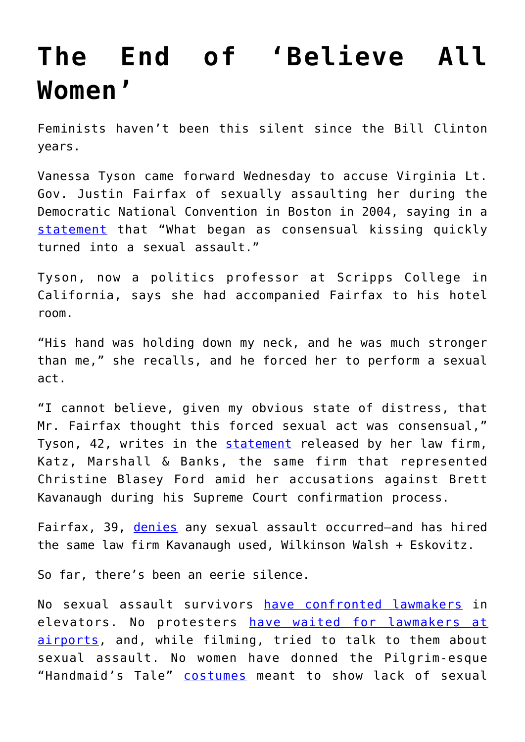## **[The End of 'Believe All](https://intellectualtakeout.org/2019/02/the-end-of-believe-all-women/) [Women'](https://intellectualtakeout.org/2019/02/the-end-of-believe-all-women/)**

Feminists haven't been this silent since the Bill Clinton years.

Vanessa Tyson came forward Wednesday to accuse Virginia Lt. Gov. Justin Fairfax of sexually assaulting her during the Democratic National Convention in Boston in 2004, saying in a [statement](https://www.nytimes.com/2019/02/06/us/politics/vanessa-tyson-statement.html) that "What began as consensual kissing quickly turned into a sexual assault."

Tyson, now a politics professor at Scripps College in California, says she had accompanied Fairfax to his hotel room.

"His hand was holding down my neck, and he was much stronger than me," she recalls, and he forced her to perform a sexual act.

"I cannot believe, given my obvious state of distress, that Mr. Fairfax thought this forced sexual act was consensual," Tyson, 42, writes in the [statement](https://www.documentcloud.org/documents/5729049-Vanessa-Tyson-statement.html) released by her law firm, Katz, Marshall & Banks, the same firm that represented Christine Blasey Ford amid her accusations against Brett Kavanaugh during his Supreme Court confirmation process.

Fairfax, 39, [denies](https://www.documentcloud.org/documents/5729253-Lt-Gov-Justin-Fairfax-statement.html) any sexual assault occurred-and has hired the same law firm Kavanaugh used, Wilkinson Walsh + Eskovitz.

So far, there's been an eerie silence.

No sexual assault survivors [have confronted lawmakers](https://www.thecut.com/2018/09/flake-kavanaugh-vote-assault-survivors-video.html) in elevators. No protesters [have waited for lawmakers at](https://www.dailysignal.com/2018/10/04/kavanaugh-protesters-chase-down-rand-paul-inside-dc-airport/) [airports](https://www.dailysignal.com/2018/10/04/kavanaugh-protesters-chase-down-rand-paul-inside-dc-airport/), and, while filming, tried to talk to them about sexual assault. No women have donned the Pilgrim-esque "Handmaid's Tale" [costumes](https://abcnews.go.com/Politics/handmaids-tale-protesters-target-kavanaugh/story?id=57592706) meant to show lack of sexual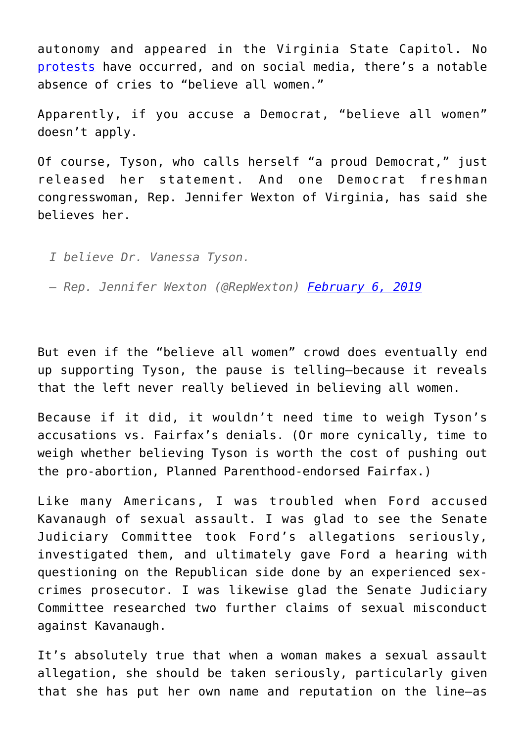autonomy and appeared in the Virginia State Capitol. No [protests](https://www.theguardian.com/us-news/2018/oct/04/kavanaugh-supreme-court-protests-washington) have occurred, and on social media, there's a notable absence of cries to "believe all women."

Apparently, if you accuse a Democrat, "believe all women" doesn't apply.

Of course, Tyson, who calls herself "a proud Democrat," just released her statement. And one Democrat freshman congresswoman, Rep. Jennifer Wexton of Virginia, has said she believes her.

*I believe Dr. Vanessa Tyson.*

*— Rep. Jennifer Wexton (@RepWexton) [February 6, 2019](https://twitter.com/RepWexton/status/1093271598000422913?ref_src=twsrc%5Etfw)*

But even if the "believe all women" crowd does eventually end up supporting Tyson, the pause is telling—because it reveals that the left never really believed in believing all women.

Because if it did, it wouldn't need time to weigh Tyson's accusations vs. Fairfax's denials. (Or more cynically, time to weigh whether believing Tyson is worth the cost of pushing out the pro-abortion, Planned Parenthood-endorsed Fairfax.)

Like many Americans, I was troubled when Ford accused Kavanaugh of sexual assault. I was glad to see the Senate Judiciary Committee took Ford's allegations seriously, investigated them, and ultimately gave Ford a hearing with questioning on the Republican side done by an experienced sexcrimes prosecutor. I was likewise glad the Senate Judiciary Committee researched two further claims of sexual misconduct against Kavanaugh.

It's absolutely true that when a woman makes a sexual assault allegation, she should be taken seriously, particularly given that she has put her own name and reputation on the line—as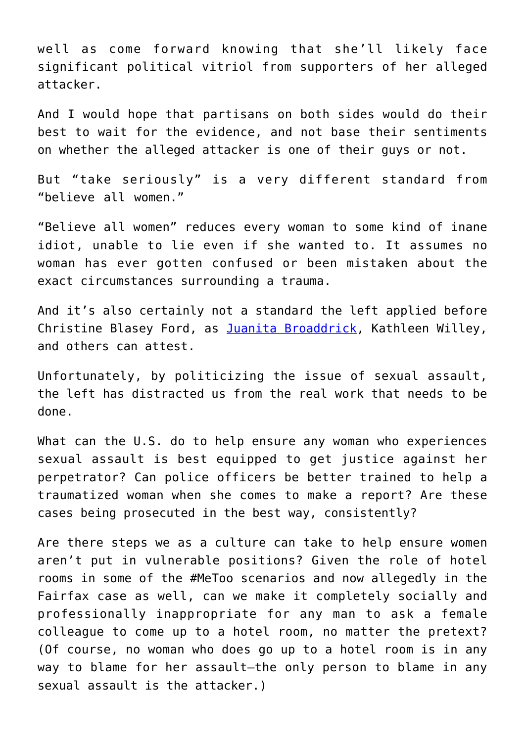well as come forward knowing that she'll likely face significant political vitriol from supporters of her alleged attacker.

And I would hope that partisans on both sides would do their best to wait for the evidence, and not base their sentiments on whether the alleged attacker is one of their guys or not.

But "take seriously" is a very different standard from "believe all women."

"Believe all women" reduces every woman to some kind of inane idiot, unable to lie even if she wanted to. It assumes no woman has ever gotten confused or been mistaken about the exact circumstances surrounding a trauma.

And it's also certainly not a standard the left applied before Christine Blasey Ford, as [Juanita Broaddrick,](https://www.dailysignal.com/2018/09/27/why-bill-clintons-accuser-doesnt-believe-ford/) Kathleen Willey, and others can attest.

Unfortunately, by politicizing the issue of sexual assault, the left has distracted us from the real work that needs to be done.

What can the U.S. do to help ensure any woman who experiences sexual assault is best equipped to get justice against her perpetrator? Can police officers be better trained to help a traumatized woman when she comes to make a report? Are these cases being prosecuted in the best way, consistently?

Are there steps we as a culture can take to help ensure women aren't put in vulnerable positions? Given the role of hotel rooms in some of the #MeToo scenarios and now allegedly in the Fairfax case as well, can we make it completely socially and professionally inappropriate for any man to ask a female colleague to come up to a hotel room, no matter the pretext? (Of course, no woman who does go up to a hotel room is in any way to blame for her assault—the only person to blame in any sexual assault is the attacker.)